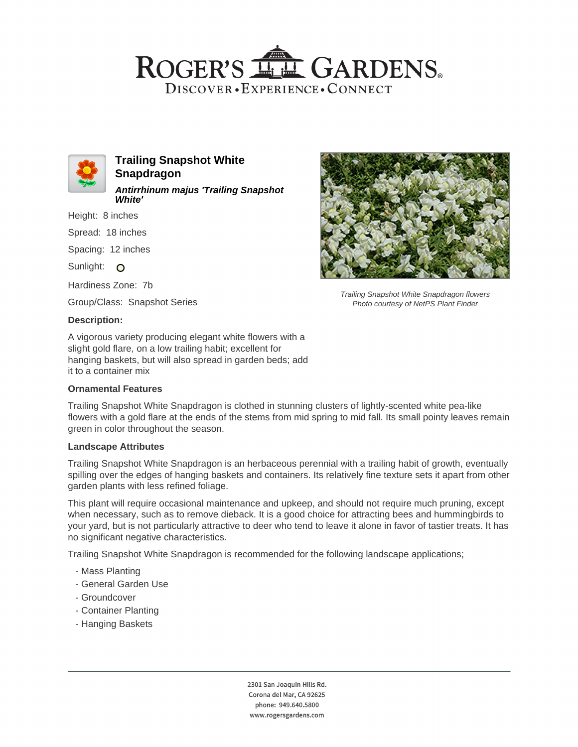# ROGER'S LL GARDENS. DISCOVER · EXPERIENCE · CONNECT



**Trailing Snapshot White Snapdragon Antirrhinum majus 'Trailing Snapshot White'**

Height: 8 inches

Spread: 18 inches

Spacing: 12 inches

Sunlight: O

Hardiness Zone: 7b

Group/Class: Snapshot Series

### **Description:**

A vigorous variety producing elegant white flowers with a slight gold flare, on a low trailing habit; excellent for hanging baskets, but will also spread in garden beds; add it to a container mix

### **Ornamental Features**

Trailing Snapshot White Snapdragon is clothed in stunning clusters of lightly-scented white pea-like flowers with a gold flare at the ends of the stems from mid spring to mid fall. Its small pointy leaves remain green in color throughout the season.

#### **Landscape Attributes**

Trailing Snapshot White Snapdragon is an herbaceous perennial with a trailing habit of growth, eventually spilling over the edges of hanging baskets and containers. Its relatively fine texture sets it apart from other garden plants with less refined foliage.

This plant will require occasional maintenance and upkeep, and should not require much pruning, except when necessary, such as to remove dieback. It is a good choice for attracting bees and hummingbirds to your yard, but is not particularly attractive to deer who tend to leave it alone in favor of tastier treats. It has no significant negative characteristics.

Trailing Snapshot White Snapdragon is recommended for the following landscape applications;

- Mass Planting
- General Garden Use
- Groundcover
- Container Planting
- Hanging Baskets



Trailing Snapshot White Snapdragon flowers Photo courtesy of NetPS Plant Finder

2301 San Joaquin Hills Rd. Corona del Mar, CA 92625 phone: 949.640.5800 www.rogersgardens.com